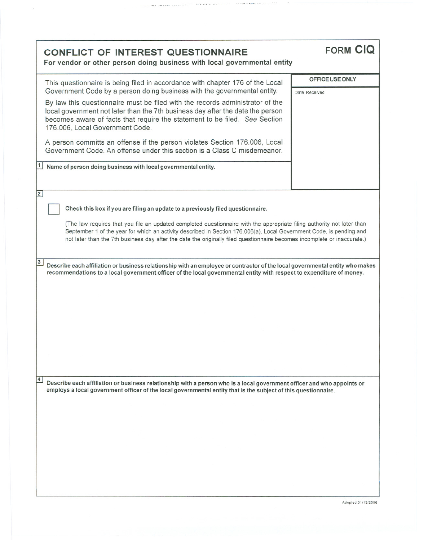| <b>CONFLICT OF INTEREST QUESTIONNAIRE</b><br>For vendor or other person doing business with local governmental entity                                                                                                                                                                                                                                                                                                                                                                                                                                                                                                                                                                                                                                               | <b>FORM CIQ</b>                  |  |
|---------------------------------------------------------------------------------------------------------------------------------------------------------------------------------------------------------------------------------------------------------------------------------------------------------------------------------------------------------------------------------------------------------------------------------------------------------------------------------------------------------------------------------------------------------------------------------------------------------------------------------------------------------------------------------------------------------------------------------------------------------------------|----------------------------------|--|
| This questionnaire is being filed in accordance with chapter 176 of the Local<br>Government Code by a person doing business with the governmental entity.<br>By law this questionnaire must be filed with the records administrator of the<br>local government not later than the 7th business day after the date the person<br>becomes aware of facts that require the statement to be filed. See Section<br>176.006, Local Government Code.<br>A person committs an offense if the person violates Section 176.006, Local<br>Government Code. An offense under this section is a Class C misdemeanor.<br>$\vert$ 1<br>Name of person doing business with local governmental entity.                                                                               | OFFICE USE ONLY<br>Date Received |  |
| $\overline{2}$<br>Check this box if you are filing an update to a previously filed questionnaire.<br>(The law requires that you file an updated completed questionnaire with the appropriate filing authority not later than<br>September 1 of the year for which an activity described in Section 176.006(a), Local Government Code, is pending and<br>not later than the 7th business day after the date the originally filed questionnaire becomes incomplete or inaccurate.)<br>$\overline{\mathbf{3}}$<br>Describe each affiliation or business relationship with an employee or contractor of the local governmental entity who makes<br>recommendations to a local government officer of the local governmental entity with respect to expenditure of money. |                                  |  |
|                                                                                                                                                                                                                                                                                                                                                                                                                                                                                                                                                                                                                                                                                                                                                                     |                                  |  |
| $\overline{4}$<br>Describe each affiliation or business relationship with a person who is a local government officer and who appoints or<br>employs a local government officer of the local governmental entity that is the subject of this questionnaire.                                                                                                                                                                                                                                                                                                                                                                                                                                                                                                          |                                  |  |

 $\bar{\alpha}$ 

 $\sim$   $\sim$   $\sim$